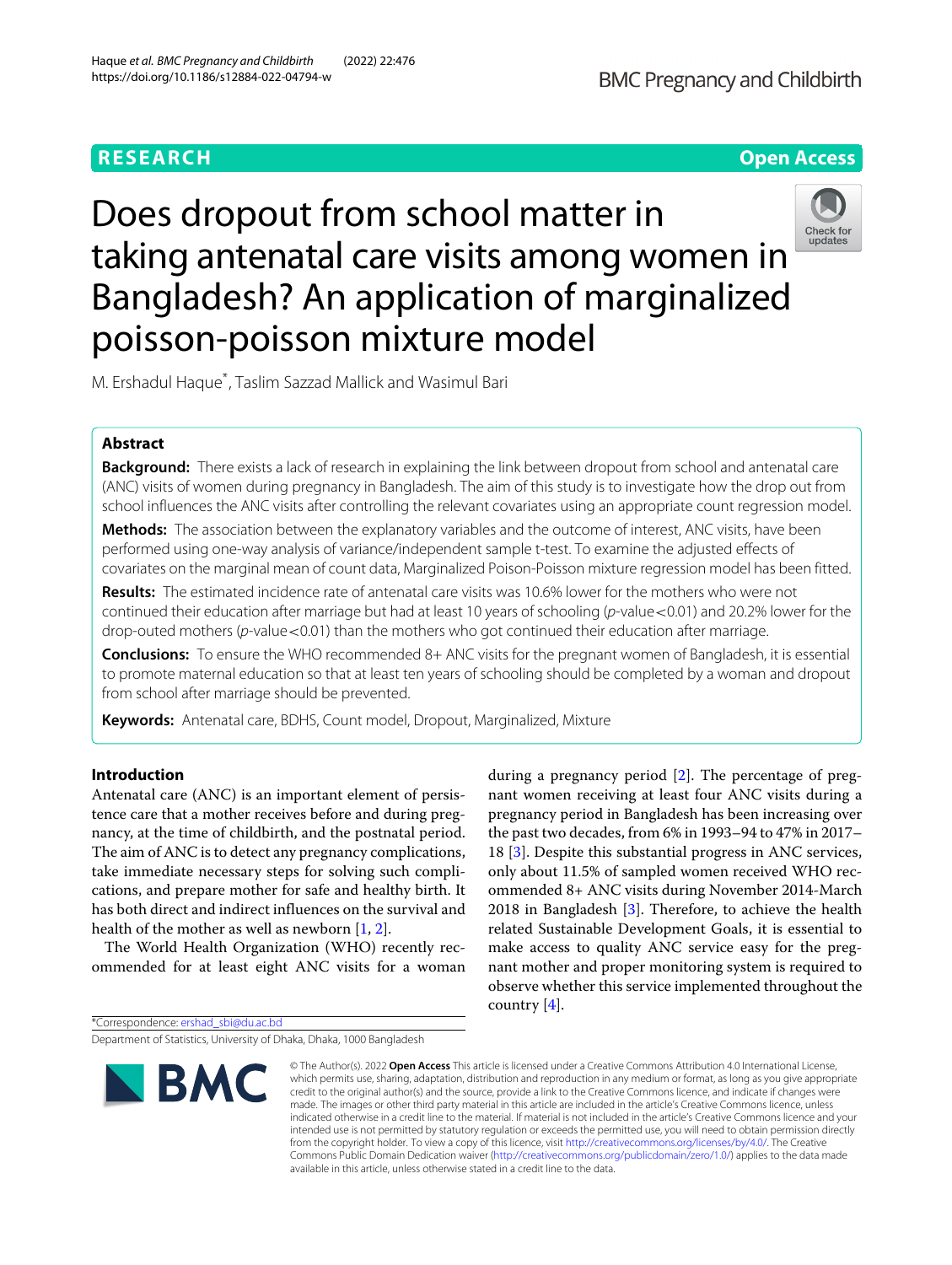

# Does dropout from school matter in taking antenatal care visits among women in Bangladesh? An application of marginalized poisson-poisson mixture model



M. Ershadul Haque\* , Taslim Sazzad Mallick and Wasimul Bari

# **Abstract**

**Background:** There exists a lack of research in explaining the link between dropout from school and antenatal care (ANC) visits of women during pregnancy in Bangladesh. The aim of this study is to investigate how the drop out from school influences the ANC visits after controlling the relevant covariates using an appropriate count regression model.

**Methods:** The association between the explanatory variables and the outcome of interest, ANC visits, have been performed using one-way analysis of variance/independent sample t-test. To examine the adjusted effects of covariates on the marginal mean of count data, Marginalized Poison-Poisson mixture regression model has been fitted.

**Results:** The estimated incidence rate of antenatal care visits was 10.6% lower for the mothers who were not continued their education after marriage but had at least 10 years of schooling (p-value <0.01) and 20.2% lower for the drop-outed mothers (p-value < 0.01) than the mothers who got continued their education after marriage.

**Conclusions:** To ensure the WHO recommended 8+ ANC visits for the pregnant women of Bangladesh, it is essential to promote maternal education so that at least ten years of schooling should be completed by a woman and dropout from school after marriage should be prevented.

**Keywords:** Antenatal care, BDHS, Count model, Dropout, Marginalized, Mixture

# **Introduction**

Antenatal care (ANC) is an important element of persistence care that a mother receives before and during pregnancy, at the time of childbirth, and the postnatal period. The aim of ANC is to detect any pregnancy complications, take immediate necessary steps for solving such complications, and prepare mother for safe and healthy birth. It has both direct and indirect influences on the survival and health of the mother as well as newborn [\[1,](#page-7-0) [2\]](#page-7-1).

The World Health Organization (WHO) recently recommended for at least eight ANC visits for a woman during a pregnancy period [\[2\]](#page-7-1). The percentage of pregnant women receiving at least four ANC visits during a pregnancy period in Bangladesh has been increasing over the past two decades, from 6% in 1993–94 to 47% in 2017– 18 [\[3\]](#page-7-2). Despite this substantial progress in ANC services, only about 11.5% of sampled women received WHO recommended 8+ ANC visits during November 2014-March 2018 in Bangladesh [\[3\]](#page-7-2). Therefore, to achieve the health related Sustainable Development Goals, it is essential to make access to quality ANC service easy for the pregnant mother and proper monitoring system is required to observe whether this service implemented throughout the country [\[4\]](#page-7-3).

\*Correspondence: [ershad\\_sbi@du.ac.bd](mailto: ershad_sbi@du.ac.bd)

Department of Statistics, University of Dhaka, Dhaka, 1000 Bangladesh



<sup>©</sup> The Author(s). 2022 **Open Access** This article is licensed under a Creative Commons Attribution 4.0 International License, which permits use, sharing, adaptation, distribution and reproduction in any medium or format, as long as you give appropriate credit to the original author(s) and the source, provide a link to the Creative Commons licence, and indicate if changes were made. The images or other third party material in this article are included in the article's Creative Commons licence, unless indicated otherwise in a credit line to the material. If material is not included in the article's Creative Commons licence and your intended use is not permitted by statutory regulation or exceeds the permitted use, you will need to obtain permission directly from the copyright holder. To view a copy of this licence, visit [http://creativecommons.org/licenses/by/4.0/.](http://creativecommons.org/licenses/by/4.0/) The Creative Commons Public Domain Dedication waiver [\(http://creativecommons.org/publicdomain/zero/1.0/\)](http://creativecommons.org/publicdomain/zero/1.0/) applies to the data made available in this article, unless otherwise stated in a credit line to the data.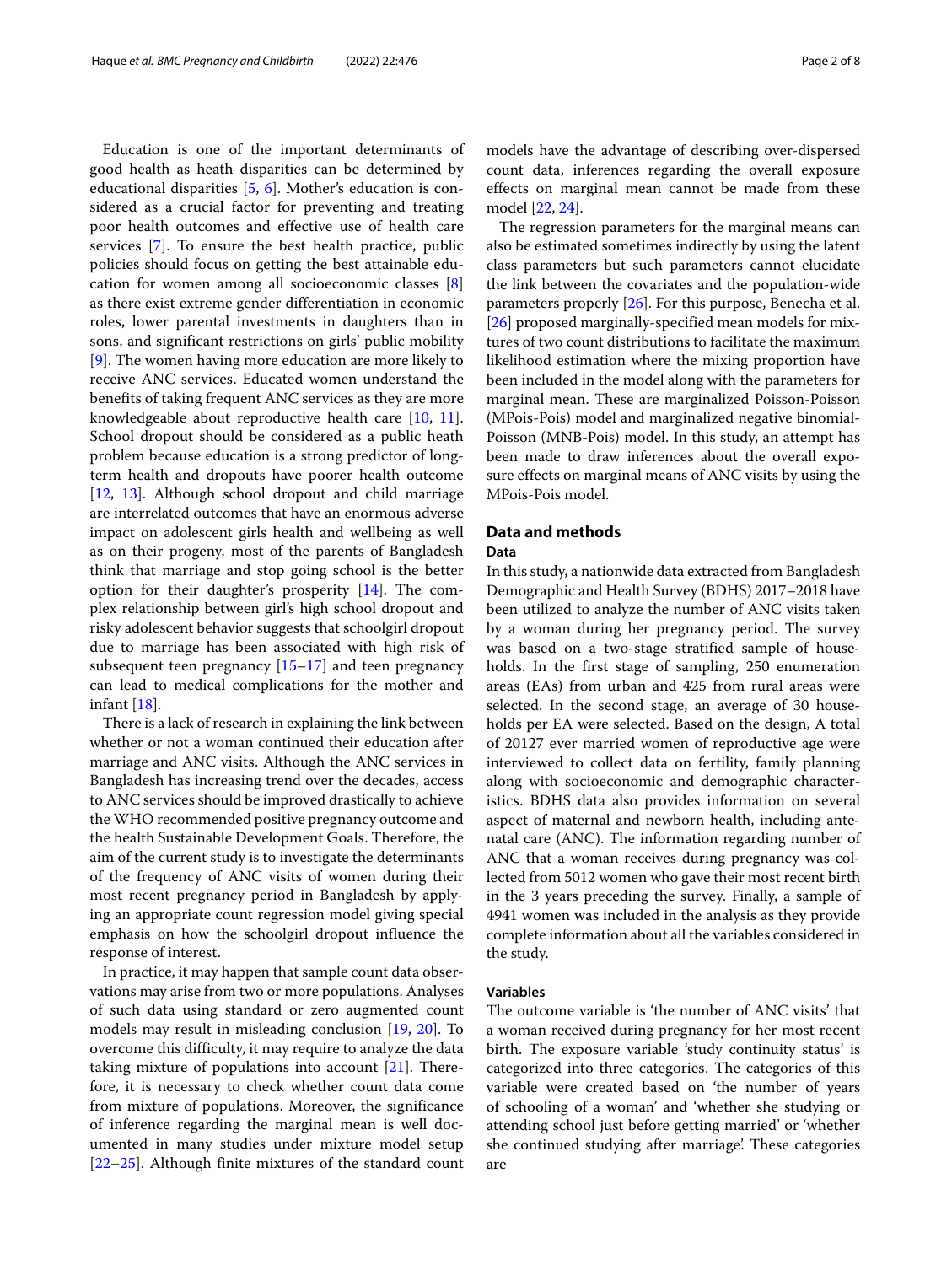Education is one of the important determinants of good health as heath disparities can be determined by educational disparities [\[5,](#page-7-4) [6\]](#page-7-5). Mother's education is considered as a crucial factor for preventing and treating poor health outcomes and effective use of health care services [\[7\]](#page-7-6). To ensure the best health practice, public policies should focus on getting the best attainable education for women among all socioeconomic classes [\[8\]](#page-7-7) as there exist extreme gender differentiation in economic roles, lower parental investments in daughters than in sons, and significant restrictions on girls' public mobility [\[9\]](#page-7-8). The women having more education are more likely to receive ANC services. Educated women understand the benefits of taking frequent ANC services as they are more knowledgeable about reproductive health care [\[10,](#page-7-9) [11\]](#page-7-10). School dropout should be considered as a public heath problem because education is a strong predictor of longterm health and dropouts have poorer health outcome [\[12,](#page-7-11) [13\]](#page-7-12). Although school dropout and child marriage are interrelated outcomes that have an enormous adverse impact on adolescent girls health and wellbeing as well as on their progeny, most of the parents of Bangladesh think that marriage and stop going school is the better option for their daughter's prosperity [\[14\]](#page-7-13). The complex relationship between girl's high school dropout and risky adolescent behavior suggests that schoolgirl dropout due to marriage has been associated with high risk of subsequent teen pregnancy [\[15–](#page-7-14)[17\]](#page-7-15) and teen pregnancy can lead to medical complications for the mother and infant [\[18\]](#page-7-16).

There is a lack of research in explaining the link between whether or not a woman continued their education after marriage and ANC visits. Although the ANC services in Bangladesh has increasing trend over the decades, access to ANC services should be improved drastically to achieve the WHO recommended positive pregnancy outcome and the health Sustainable Development Goals. Therefore, the aim of the current study is to investigate the determinants of the frequency of ANC visits of women during their most recent pregnancy period in Bangladesh by applying an appropriate count regression model giving special emphasis on how the schoolgirl dropout influence the response of interest.

In practice, it may happen that sample count data observations may arise from two or more populations. Analyses of such data using standard or zero augmented count models may result in misleading conclusion [\[19,](#page-7-17) [20\]](#page-7-18). To overcome this difficulty, it may require to analyze the data taking mixture of populations into account [\[21\]](#page-7-19). Therefore, it is necessary to check whether count data come from mixture of populations. Moreover, the significance of inference regarding the marginal mean is well documented in many studies under mixture model setup [\[22](#page-7-20)[–25\]](#page-7-21). Although finite mixtures of the standard count

models have the advantage of describing over-dispersed count data, inferences regarding the overall exposure effects on marginal mean cannot be made from these model [\[22,](#page-7-20) [24\]](#page-7-22).

The regression parameters for the marginal means can also be estimated sometimes indirectly by using the latent class parameters but such parameters cannot elucidate the link between the covariates and the population-wide parameters properly [\[26\]](#page-7-23). For this purpose, Benecha et al. [\[26\]](#page-7-23) proposed marginally-specified mean models for mixtures of two count distributions to facilitate the maximum likelihood estimation where the mixing proportion have been included in the model along with the parameters for marginal mean. These are marginalized Poisson-Poisson (MPois-Pois) model and marginalized negative binomial-Poisson (MNB-Pois) model. In this study, an attempt has been made to draw inferences about the overall exposure effects on marginal means of ANC visits by using the MPois-Pois model.

# **Data and methods**

#### **Data**

In this study, a nationwide data extracted from Bangladesh Demographic and Health Survey (BDHS) 2017–2018 have been utilized to analyze the number of ANC visits taken by a woman during her pregnancy period. The survey was based on a two-stage stratified sample of households. In the first stage of sampling, 250 enumeration areas (EAs) from urban and 425 from rural areas were selected. In the second stage, an average of 30 households per EA were selected. Based on the design, A total of 20127 ever married women of reproductive age were interviewed to collect data on fertility, family planning along with socioeconomic and demographic characteristics. BDHS data also provides information on several aspect of maternal and newborn health, including antenatal care (ANC). The information regarding number of ANC that a woman receives during pregnancy was collected from 5012 women who gave their most recent birth in the 3 years preceding the survey. Finally, a sample of 4941 women was included in the analysis as they provide complete information about all the variables considered in the study.

# **Variables**

The outcome variable is 'the number of ANC visits' that a woman received during pregnancy for her most recent birth. The exposure variable 'study continuity status' is categorized into three categories. The categories of this variable were created based on 'the number of years of schooling of a woman' and 'whether she studying or attending school just before getting married' or 'whether she continued studying after marriage'. These categories are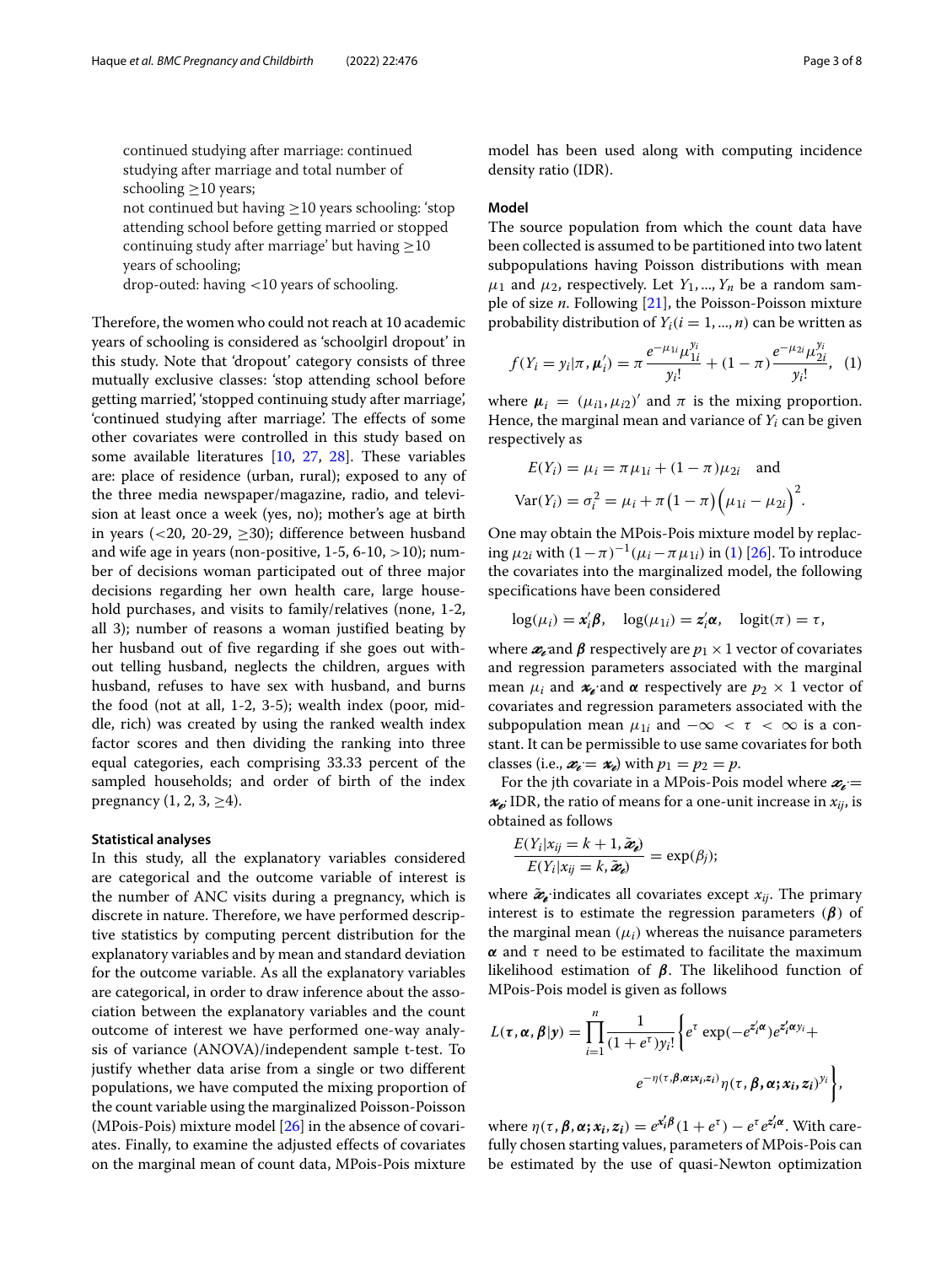continued studying after marriage: continued studying after marriage and total number of schooling  $\geq$ 10 years;

not continued but having  $\geq$ 10 years schooling: 'stop attending school before getting married or stopped continuing study after marriage' but having ≥10 years of schooling;

drop-outed: having <10 years of schooling.

Therefore, the women who could not reach at 10 academic years of schooling is considered as 'schoolgirl dropout' in this study. Note that 'dropout' category consists of three mutually exclusive classes: 'stop attending school before getting married', 'stopped continuing study after marriage', 'continued studying after marriage'. The effects of some other covariates were controlled in this study based on some available literatures [\[10,](#page-7-9) [27,](#page-7-24) [28\]](#page-7-25). These variables are: place of residence (urban, rural); exposed to any of the three media newspaper/magazine, radio, and television at least once a week (yes, no); mother's age at birth in years (<20, 20-29,  $\geq$ 30); difference between husband and wife age in years (non-positive,  $1-5$ ,  $6-10$ ,  $>10$ ); number of decisions woman participated out of three major decisions regarding her own health care, large household purchases, and visits to family/relatives (none, 1-2, all 3); number of reasons a woman justified beating by her husband out of five regarding if she goes out without telling husband, neglects the children, argues with husband, refuses to have sex with husband, and burns the food (not at all, 1-2, 3-5); wealth index (poor, middle, rich) was created by using the ranked wealth index factor scores and then dividing the ranking into three equal categories, each comprising 33.33 percent of the sampled households; and order of birth of the index pregnancy  $(1, 2, 3, \geq 4)$ .

#### **Statistical analyses**

In this study, all the explanatory variables considered are categorical and the outcome variable of interest is the number of ANC visits during a pregnancy, which is discrete in nature. Therefore, we have performed descriptive statistics by computing percent distribution for the explanatory variables and by mean and standard deviation for the outcome variable. As all the explanatory variables are categorical, in order to draw inference about the association between the explanatory variables and the count outcome of interest we have performed one-way analysis of variance (ANOVA)/independent sample t-test. To justify whether data arise from a single or two different populations, we have computed the mixing proportion of the count variable using the marginalized Poisson-Poisson (MPois-Pois) mixture model [\[26\]](#page-7-23) in the absence of covariates. Finally, to examine the adjusted effects of covariates on the marginal mean of count data, MPois-Pois mixture

model has been used along with computing incidence density ratio (IDR).

#### **Model**

The source population from which the count data have been collected is assumed to be partitioned into two latent subpopulations having Poisson distributions with mean  $\mu_1$  and  $\mu_2$ , respectively. Let  $Y_1, ..., Y_n$  be a random sample of size *n*. Following [\[21\]](#page-7-19), the Poisson-Poisson mixture probability distribution of  $Y_i$  ( $i = 1, ..., n$ ) can be written as

<span id="page-2-0"></span>
$$
f(Y_i = y_i | \pi, \mu'_i) = \pi \frac{e^{-\mu_{1i}} \mu_{1i}^{y_i}}{y_i!} + (1 - \pi) \frac{e^{-\mu_{2i}} \mu_{2i}^{y_i}}{y_i!}, \quad (1)
$$

where  $\mu_i = (\mu_{i1}, \mu_{i2})'$  and  $\pi$  is the mixing proportion. Hence, the marginal mean and variance of *Yi* can be given respectively as

$$
E(Y_i) = \mu_i = \pi \mu_{1i} + (1 - \pi) \mu_{2i} \text{ and}
$$
  
 
$$
Var(Y_i) = \sigma_i^2 = \mu_i + \pi (1 - \pi) (\mu_{1i} - \mu_{2i})^2.
$$

One may obtain the MPois-Pois mixture model by replacing  $\mu_{2i}$  with  $(1−π)^{-1}(\mu_i − π\mu_{1i})$  in [\(1\)](#page-2-0) [\[26\]](#page-7-23). To introduce the covariates into the marginalized model, the following specifications have been considered

$$
\log(\mu_i) = \mathbf{x}_i' \mathbf{\beta}, \quad \log(\mu_{1i}) = \mathbf{z}_i' \mathbf{\alpha}, \quad \log(\mathbf{x}) = \tau,
$$

where  $x_i$  and  $\beta$  respectively are  $p_1 \times 1$  vector of covariates and regression parameters associated with the marginal mean  $\mu_i$  and  $\mathbf{x}_i$  and  $\alpha$  respectively are  $p_2 \times 1$  vector of covariates and regression parameters associated with the subpopulation mean  $\mu_{1i}$  and  $-\infty < \tau < \infty$  is a constant. It can be permissible to use same covariates for both classes (i.e.,  $x_i = x_i$ ) with  $p_1 = p_2 = p$ .

For the jth covariate in a MPois-Pois model where  $x_i =$  $x_e$ ; IDR, the ratio of means for a one-unit increase in  $x_{ij}$ , is obtained as follows

$$
\frac{E(Y_i|x_{ij} = k + 1, \tilde{\boldsymbol{x}}_i)}{E(Y_i|x_{ij} = k, \tilde{\boldsymbol{x}}_i)} = \exp(\beta_j);
$$

where  $\tilde{\mathbf{z}}_i$  indicates all covariates except  $x_{ij}$ . The primary interest is to estimate the regression parameters (*β*) of the marginal mean  $(\mu_i)$  whereas the nuisance parameters  $\alpha$  and  $\tau$  need to be estimated to facilitate the maximum likelihood estimation of *β*. The likelihood function of MPois-Pois model is given as follows

$$
L(\tau, \alpha, \beta | y) = \prod_{i=1}^{n} \frac{1}{(1 + e^{\tau})y_i!} \Biggl\{ e^{\tau} \exp(-e^{z_i^{\prime} \alpha}) e^{z_i^{\prime} \alpha y_i} +
$$

$$
e^{-\eta(\tau, \beta, \alpha; x_i, z_i)} \eta(\tau, \beta, \alpha; x_i, z_i)^{y_i} \Biggr\},
$$

where  $\eta(\tau, \beta, \alpha; x_i, z_i) = e^{x_i' \beta} (1 + e^{\tau}) - e^{\tau} e^{z_i' \alpha}$ . With carefully chosen starting values, parameters of MPois-Pois can be estimated by the use of quasi-Newton optimization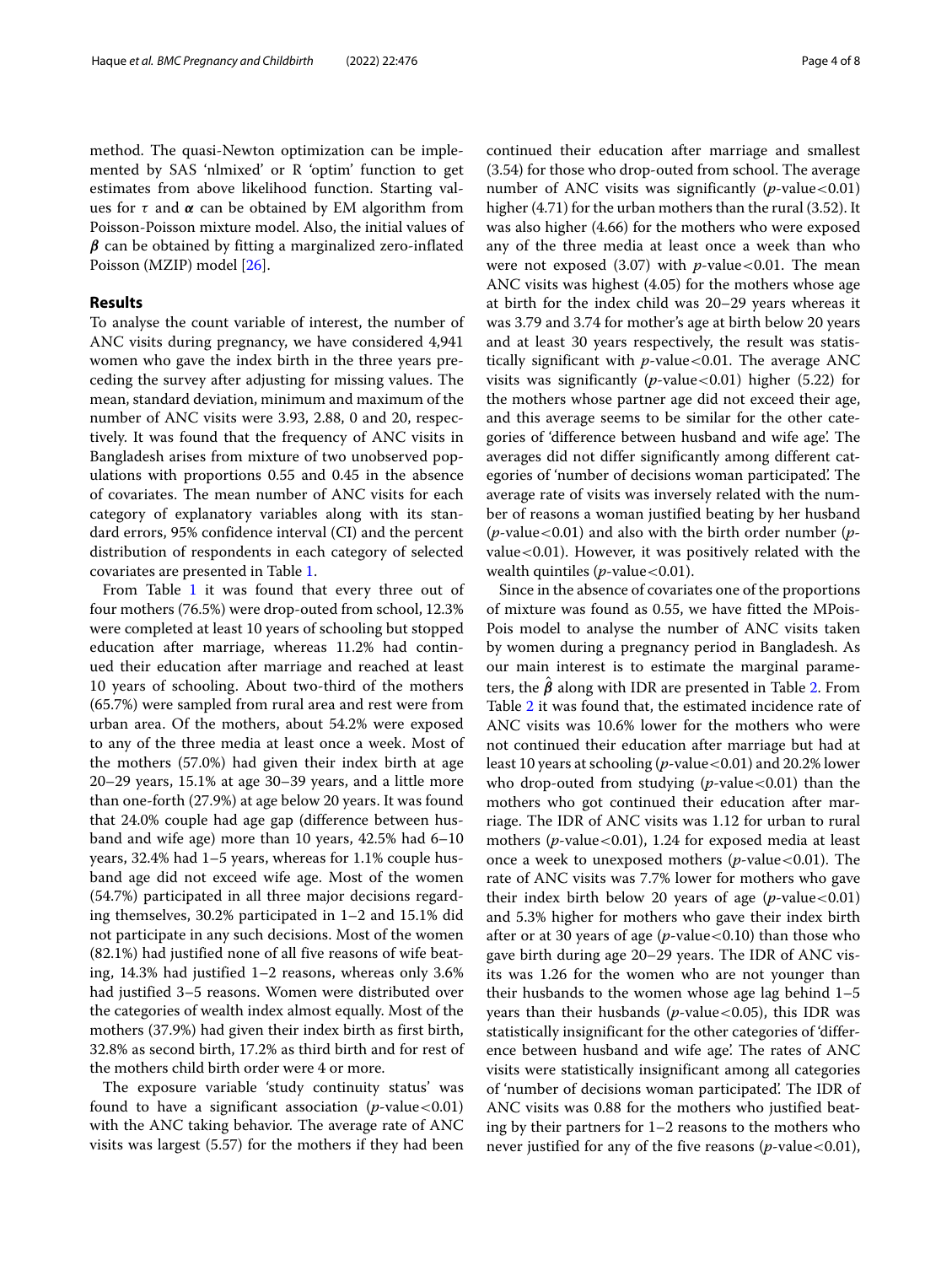method. The quasi-Newton optimization can be implemented by SAS 'nlmixed' or R 'optim' function to get estimates from above likelihood function. Starting values for  $\tau$  and  $\alpha$  can be obtained by EM algorithm from Poisson-Poisson mixture model. Also, the initial values of *β* can be obtained by fitting a marginalized zero-inflated Poisson (MZIP) model [\[26\]](#page-7-23).

# **Results**

To analyse the count variable of interest, the number of ANC visits during pregnancy, we have considered 4,941 women who gave the index birth in the three years preceding the survey after adjusting for missing values. The mean, standard deviation, minimum and maximum of the number of ANC visits were 3.93, 2.88, 0 and 20, respectively. It was found that the frequency of ANC visits in Bangladesh arises from mixture of two unobserved populations with proportions 0.55 and 0.45 in the absence of covariates. The mean number of ANC visits for each category of explanatory variables along with its standard errors, 95% confidence interval (CI) and the percent distribution of respondents in each category of selected covariates are presented in Table [1.](#page-4-0)

From Table [1](#page-4-0) it was found that every three out of four mothers (76.5%) were drop-outed from school, 12.3% were completed at least 10 years of schooling but stopped education after marriage, whereas 11.2% had continued their education after marriage and reached at least 10 years of schooling. About two-third of the mothers (65.7%) were sampled from rural area and rest were from urban area. Of the mothers, about 54.2% were exposed to any of the three media at least once a week. Most of the mothers (57.0%) had given their index birth at age 20–29 years, 15.1% at age 30–39 years, and a little more than one-forth (27.9%) at age below 20 years. It was found that 24.0% couple had age gap (difference between husband and wife age) more than 10 years, 42.5% had 6–10 years, 32.4% had 1–5 years, whereas for 1.1% couple husband age did not exceed wife age. Most of the women (54.7%) participated in all three major decisions regarding themselves, 30.2% participated in 1–2 and 15.1% did not participate in any such decisions. Most of the women (82.1%) had justified none of all five reasons of wife beating, 14.3% had justified 1–2 reasons, whereas only 3.6% had justified 3–5 reasons. Women were distributed over the categories of wealth index almost equally. Most of the mothers (37.9%) had given their index birth as first birth, 32.8% as second birth, 17.2% as third birth and for rest of the mothers child birth order were 4 or more.

The exposure variable 'study continuity status' was found to have a significant association  $(p$ -value < 0.01) with the ANC taking behavior. The average rate of ANC visits was largest (5.57) for the mothers if they had been

continued their education after marriage and smallest (3.54) for those who drop-outed from school. The average number of ANC visits was significantly  $(p$ -value < 0.01) higher (4.71) for the urban mothers than the rural (3.52). It was also higher (4.66) for the mothers who were exposed any of the three media at least once a week than who were not exposed  $(3.07)$  with *p*-value < 0.01. The mean ANC visits was highest (4.05) for the mothers whose age at birth for the index child was 20–29 years whereas it was 3.79 and 3.74 for mother's age at birth below 20 years and at least 30 years respectively, the result was statistically significant with  $p$ -value<0.01. The average ANC visits was significantly ( $p$ -value<0.01) higher (5.22) for the mothers whose partner age did not exceed their age, and this average seems to be similar for the other categories of 'difference between husband and wife age'. The averages did not differ significantly among different categories of 'number of decisions woman participated'. The average rate of visits was inversely related with the number of reasons a woman justified beating by her husband (*p*-value<0.01) and also with the birth order number (*p*value<0.01). However, it was positively related with the wealth quintiles  $(p$ -value < 0.01).

Since in the absence of covariates one of the proportions of mixture was found as 0.55, we have fitted the MPois-Pois model to analyse the number of ANC visits taken by women during a pregnancy period in Bangladesh. As our main interest is to estimate the marginal parameters, the  $\hat{\beta}$  along with IDR are presented in Table [2.](#page-5-0) From Table [2](#page-5-0) it was found that, the estimated incidence rate of ANC visits was 10.6% lower for the mothers who were not continued their education after marriage but had at least 10 years at schooling (*p*-value<0.01) and 20.2% lower who drop-outed from studying (*p*-value <0.01) than the mothers who got continued their education after marriage. The IDR of ANC visits was 1.12 for urban to rural mothers (*p*-value<0.01), 1.24 for exposed media at least once a week to unexposed mothers (*p*-value<0.01). The rate of ANC visits was 7.7% lower for mothers who gave their index birth below 20 years of age  $(p$ -value < 0.01) and 5.3% higher for mothers who gave their index birth after or at 30 years of age  $(p$ -value < 0.10) than those who gave birth during age 20–29 years. The IDR of ANC visits was 1.26 for the women who are not younger than their husbands to the women whose age lag behind 1–5 years than their husbands (*p*-value<0.05), this IDR was statistically insignificant for the other categories of 'difference between husband and wife age'. The rates of ANC visits were statistically insignificant among all categories of 'number of decisions woman participated'. The IDR of ANC visits was 0.88 for the mothers who justified beating by their partners for 1–2 reasons to the mothers who never justified for any of the five reasons  $(p$ -value < 0.01),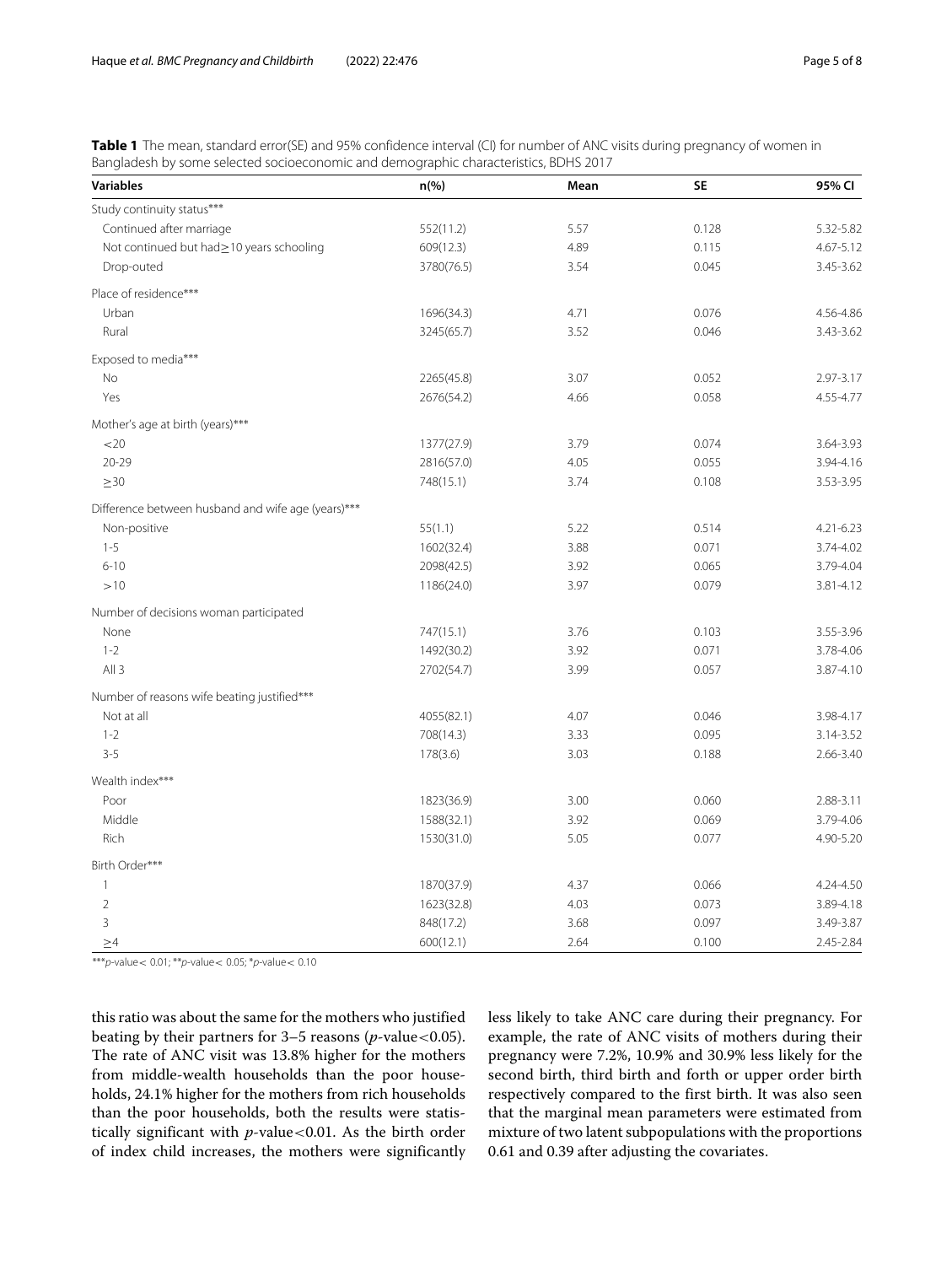<span id="page-4-0"></span>**Table 1** The mean, standard error(SE) and 95% confidence interval (CI) for number of ANC visits during pregnancy of women in Bangladesh by some selected socioeconomic and demographic characteristics, BDHS 2017

| <b>Variables</b>                                   | $n(\%)$    | Mean | <b>SE</b> | 95% CI        |
|----------------------------------------------------|------------|------|-----------|---------------|
| Study continuity status***                         |            |      |           |               |
| Continued after marriage                           | 552(11.2)  | 5.57 | 0.128     | 5.32-5.82     |
| Not continued but had > 10 years schooling         | 609(12.3)  | 4.89 | 0.115     | 4.67-5.12     |
| Drop-outed                                         | 3780(76.5) | 3.54 | 0.045     | 3.45-3.62     |
| Place of residence***                              |            |      |           |               |
| Urban                                              | 1696(34.3) | 4.71 | 0.076     | 4.56-4.86     |
| Rural                                              | 3245(65.7) | 3.52 | 0.046     | 3.43-3.62     |
| Exposed to media***                                |            |      |           |               |
| No                                                 | 2265(45.8) | 3.07 | 0.052     | 2.97-3.17     |
| Yes                                                | 2676(54.2) | 4.66 | 0.058     | 4.55-4.77     |
| Mother's age at birth (years)***                   |            |      |           |               |
| <20                                                | 1377(27.9) | 3.79 | 0.074     | 3.64-3.93     |
| $20 - 29$                                          | 2816(57.0) | 4.05 | 0.055     | 3.94-4.16     |
| $\geq$ 30                                          | 748(15.1)  | 3.74 | 0.108     | 3.53-3.95     |
| Difference between husband and wife age (years)*** |            |      |           |               |
| Non-positive                                       | 55(1.1)    | 5.22 | 0.514     | $4.21 - 6.23$ |
| $1 - 5$                                            | 1602(32.4) | 3.88 | 0.071     | 3.74-4.02     |
| $6 - 10$                                           | 2098(42.5) | 3.92 | 0.065     | 3.79-4.04     |
| >10                                                | 1186(24.0) | 3.97 | 0.079     | 3.81-4.12     |
| Number of decisions woman participated             |            |      |           |               |
| None                                               | 747(15.1)  | 3.76 | 0.103     | 3.55-3.96     |
| $1 - 2$                                            | 1492(30.2) | 3.92 | 0.071     | 3.78-4.06     |
| All3                                               | 2702(54.7) | 3.99 | 0.057     | 3.87-4.10     |
| Number of reasons wife beating justified***        |            |      |           |               |
| Not at all                                         | 4055(82.1) | 4.07 | 0.046     | 3.98-4.17     |
| $1 - 2$                                            | 708(14.3)  | 3.33 | 0.095     | 3.14-3.52     |
| $3 - 5$                                            | 178(3.6)   | 3.03 | 0.188     | 2.66-3.40     |
| Wealth index***                                    |            |      |           |               |
| Poor                                               | 1823(36.9) | 3.00 | 0.060     | 2.88-3.11     |
| Middle                                             | 1588(32.1) | 3.92 | 0.069     | 3.79-4.06     |
| Rich                                               | 1530(31.0) | 5.05 | 0.077     | 4.90-5.20     |
| Birth Order***                                     |            |      |           |               |
| $\mathbf{1}$                                       | 1870(37.9) | 4.37 | 0.066     | 4.24-4.50     |
| $\overline{2}$                                     | 1623(32.8) | 4.03 | 0.073     | 3.89-4.18     |
| 3                                                  | 848(17.2)  | 3.68 | 0.097     | 3.49-3.87     |
| $\geq$ 4                                           | 600(12.1)  | 2.64 | 0.100     | 2.45-2.84     |

\*\*\*p-value <  $0.01$ ; \*\*p-value <  $0.05$ ; \*p-value <  $0.10$ 

this ratio was about the same for the mothers who justified beating by their partners for 3–5 reasons (*p*-value<0.05). The rate of ANC visit was 13.8% higher for the mothers from middle-wealth households than the poor households, 24.1% higher for the mothers from rich households than the poor households, both the results were statistically significant with *p*-value<0.01. As the birth order of index child increases, the mothers were significantly less likely to take ANC care during their pregnancy. For example, the rate of ANC visits of mothers during their pregnancy were 7.2%, 10.9% and 30.9% less likely for the second birth, third birth and forth or upper order birth respectively compared to the first birth. It was also seen that the marginal mean parameters were estimated from mixture of two latent subpopulations with the proportions 0.61 and 0.39 after adjusting the covariates.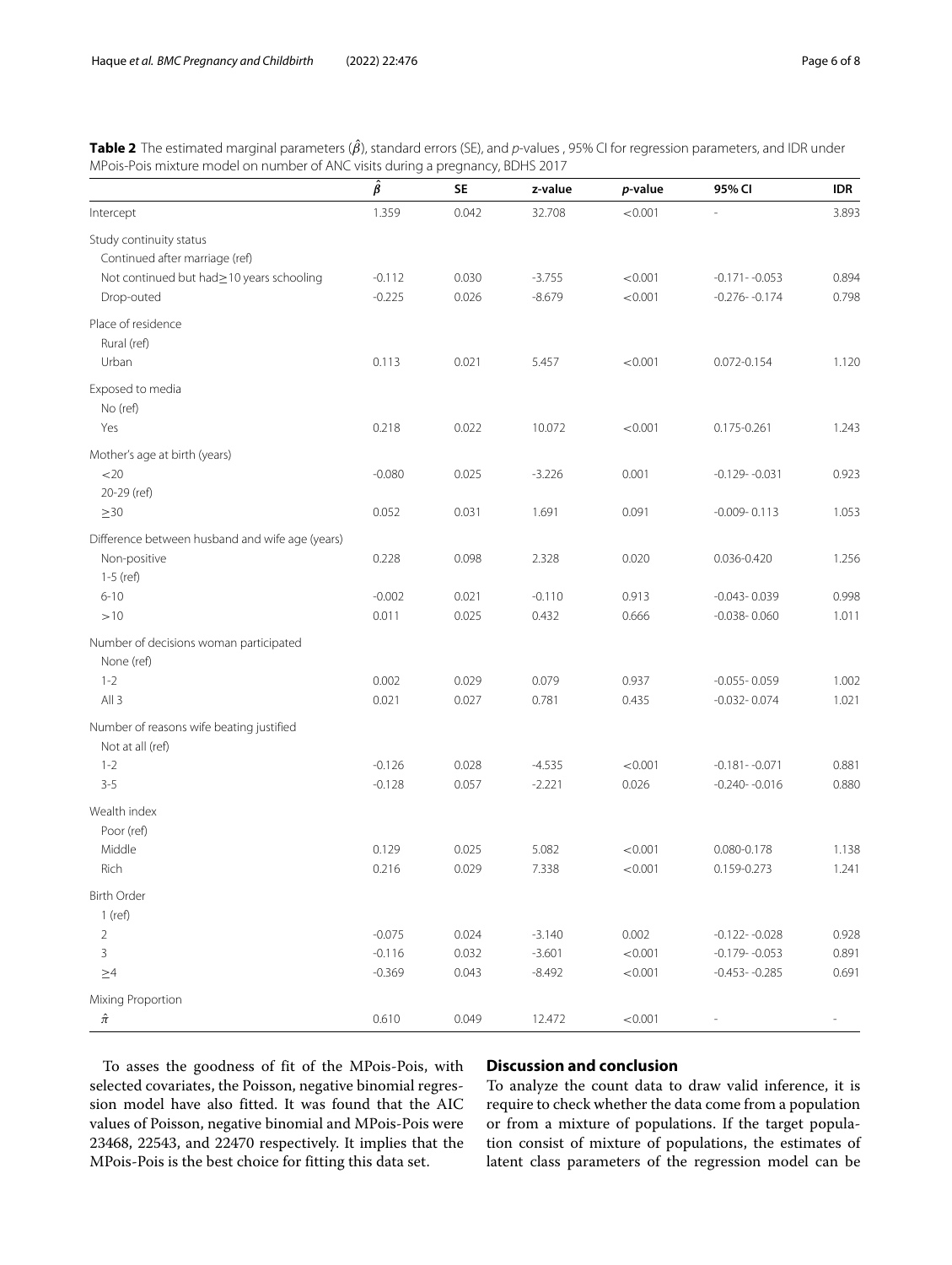<span id="page-5-0"></span>

| <b>Table 2</b> The estimated marginal parameters ( $\beta$ ), standard errors (SE), and p-values, 95% CI for regression parameters, and IDR under |  |
|---------------------------------------------------------------------------------------------------------------------------------------------------|--|
| MPois-Pois mixture model on number of ANC visits during a pregnancy, BDHS 2017                                                                    |  |

|                                                 | $\hat{\beta}$ | <b>SE</b> | z-value  | p-value | 95% CI            | <b>IDR</b> |
|-------------------------------------------------|---------------|-----------|----------|---------|-------------------|------------|
| Intercept                                       | 1.359         | 0.042     | 32.708   | < 0.001 |                   | 3.893      |
| Study continuity status                         |               |           |          |         |                   |            |
| Continued after marriage (ref)                  |               |           |          |         |                   |            |
| Not continued but had > 10 years schooling      | $-0.112$      | 0.030     | $-3.755$ | < 0.001 | $-0.171 - -0.053$ | 0.894      |
| Drop-outed                                      | $-0.225$      | 0.026     | $-8.679$ | < 0.001 | $-0.276 - 0.174$  | 0.798      |
| Place of residence                              |               |           |          |         |                   |            |
| Rural (ref)                                     |               |           |          |         |                   |            |
| Urban                                           | 0.113         | 0.021     | 5.457    | < 0.001 | 0.072-0.154       | 1.120      |
| Exposed to media                                |               |           |          |         |                   |            |
| No (ref)                                        |               |           |          |         |                   |            |
| Yes                                             | 0.218         | 0.022     | 10.072   | < 0.001 | 0.175-0.261       | 1.243      |
| Mother's age at birth (years)                   |               |           |          |         |                   |            |
| 20                                              | $-0.080$      | 0.025     | $-3.226$ | 0.001   | $-0.129 - 0.031$  | 0.923      |
| 20-29 (ref)                                     |               |           |          |         |                   |            |
| $\geq 30$                                       | 0.052         | 0.031     | 1.691    | 0.091   | $-0.009 - 0.113$  | 1.053      |
| Difference between husband and wife age (years) |               |           |          |         |                   |            |
| Non-positive                                    | 0.228         | 0.098     | 2.328    | 0.020   | 0.036-0.420       | 1.256      |
| 1-5 (ref)                                       |               |           |          |         |                   |            |
| $6 - 10$                                        | $-0.002$      | 0.021     | $-0.110$ | 0.913   | $-0.043 - 0.039$  | 0.998      |
| >10                                             | 0.011         | 0.025     | 0.432    | 0.666   | $-0.038 - 0.060$  | 1.011      |
| Number of decisions woman participated          |               |           |          |         |                   |            |
| None (ref)                                      |               |           |          |         |                   |            |
| $1 - 2$                                         | 0.002         | 0.029     | 0.079    | 0.937   | $-0.055 - 0.059$  | 1.002      |
| All3                                            | 0.021         | 0.027     | 0.781    | 0.435   | $-0.032 - 0.074$  | 1.021      |
| Number of reasons wife beating justified        |               |           |          |         |                   |            |
| Not at all (ref)                                |               |           |          |         |                   |            |
| $1 - 2$                                         | $-0.126$      | 0.028     | $-4.535$ | < 0.001 | $-0.181 - -0.071$ | 0.881      |
| $3 - 5$                                         | $-0.128$      | 0.057     | $-2.221$ | 0.026   | $-0.240 - 0.016$  | 0.880      |
| Wealth index                                    |               |           |          |         |                   |            |
| Poor (ref)                                      |               |           |          |         |                   |            |
| Middle                                          | 0.129         | 0.025     | 5.082    | < 0.001 | 0.080-0.178       | 1.138      |
| Rich                                            | 0.216         | 0.029     | 7.338    | < 0.001 | 0.159-0.273       | 1.241      |
| <b>Birth Order</b>                              |               |           |          |         |                   |            |
| $1$ (ref)                                       |               |           |          |         |                   |            |
| $\overline{2}$                                  | $-0.075$      | 0.024     | $-3.140$ | 0.002   | $-0.122 - -0.028$ | 0.928      |
| $\overline{3}$                                  | $-0.116$      | 0.032     | $-3.601$ | < 0.001 | $-0.179 - 0.053$  | 0.891      |
| $\geq 4$                                        | $-0.369$      | 0.043     | $-8.492$ | < 0.001 | $-0.453 - 0.285$  | 0.691      |
| Mixing Proportion                               |               |           |          |         |                   |            |
| $\hat{\pi}$                                     | 0.610         | 0.049     | 12.472   | < 0.001 |                   |            |

To asses the goodness of fit of the MPois-Pois, with selected covariates, the Poisson, negative binomial regression model have also fitted. It was found that the AIC values of Poisson, negative binomial and MPois-Pois were 23468, 22543, and 22470 respectively. It implies that the MPois-Pois is the best choice for fitting this data set.

# **Discussion and conclusion**

To analyze the count data to draw valid inference, it is require to check whether the data come from a population or from a mixture of populations. If the target population consist of mixture of populations, the estimates of latent class parameters of the regression model can be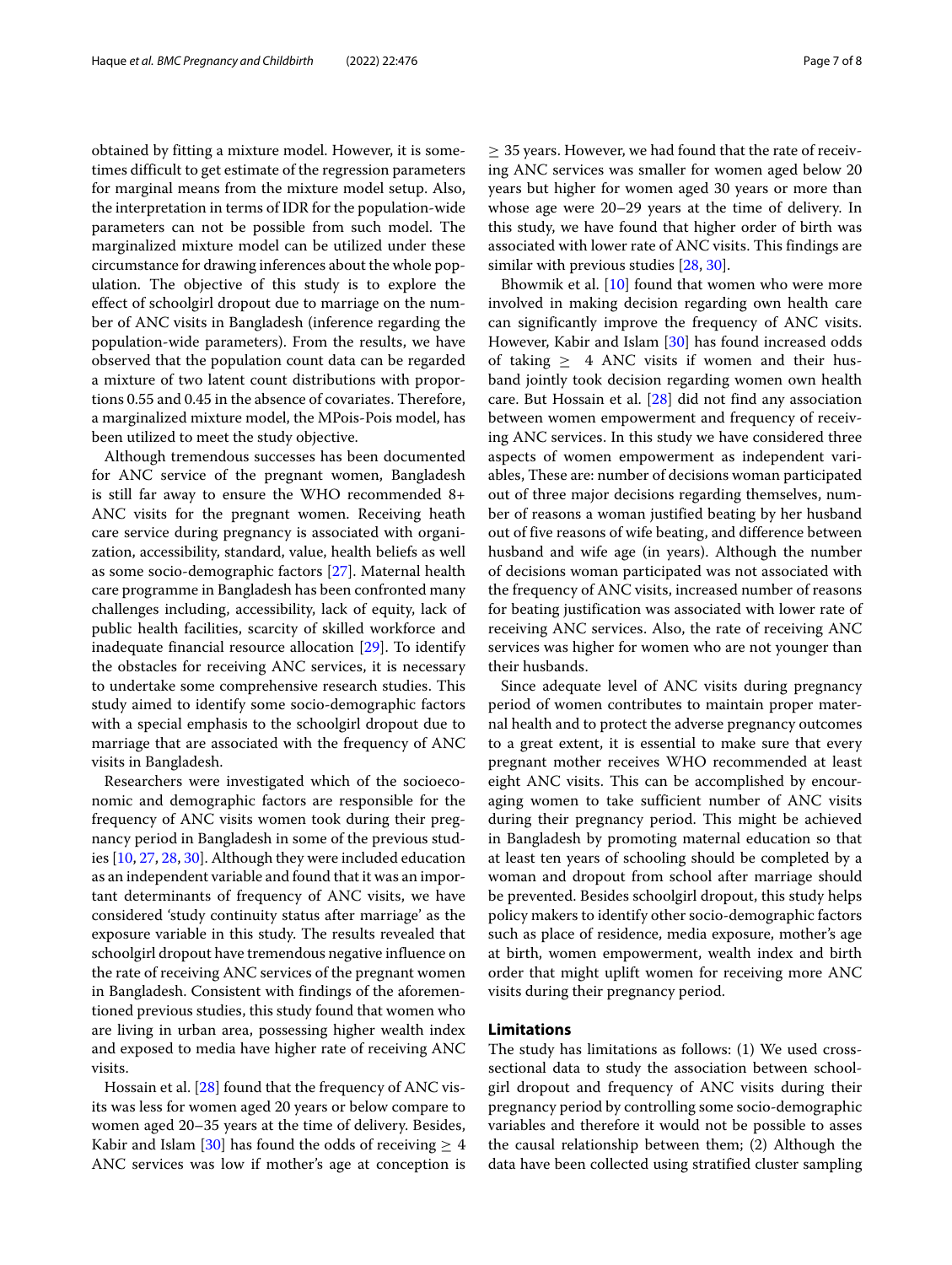obtained by fitting a mixture model. However, it is sometimes difficult to get estimate of the regression parameters for marginal means from the mixture model setup. Also, the interpretation in terms of IDR for the population-wide parameters can not be possible from such model. The marginalized mixture model can be utilized under these circumstance for drawing inferences about the whole population. The objective of this study is to explore the effect of schoolgirl dropout due to marriage on the number of ANC visits in Bangladesh (inference regarding the population-wide parameters). From the results, we have observed that the population count data can be regarded a mixture of two latent count distributions with proportions 0.55 and 0.45 in the absence of covariates. Therefore, a marginalized mixture model, the MPois-Pois model, has been utilized to meet the study objective.

Although tremendous successes has been documented for ANC service of the pregnant women, Bangladesh is still far away to ensure the WHO recommended 8+ ANC visits for the pregnant women. Receiving heath care service during pregnancy is associated with organization, accessibility, standard, value, health beliefs as well as some socio-demographic factors [\[27\]](#page-7-24). Maternal health care programme in Bangladesh has been confronted many challenges including, accessibility, lack of equity, lack of public health facilities, scarcity of skilled workforce and inadequate financial resource allocation [\[29\]](#page-7-26). To identify the obstacles for receiving ANC services, it is necessary to undertake some comprehensive research studies. This study aimed to identify some socio-demographic factors with a special emphasis to the schoolgirl dropout due to marriage that are associated with the frequency of ANC visits in Bangladesh.

Researchers were investigated which of the socioeconomic and demographic factors are responsible for the frequency of ANC visits women took during their pregnancy period in Bangladesh in some of the previous studies [\[10,](#page-7-9) [27,](#page-7-24) [28,](#page-7-25) [30\]](#page-7-27). Although they were included education as an independent variable and found that it was an important determinants of frequency of ANC visits, we have considered 'study continuity status after marriage' as the exposure variable in this study. The results revealed that schoolgirl dropout have tremendous negative influence on the rate of receiving ANC services of the pregnant women in Bangladesh. Consistent with findings of the aforementioned previous studies, this study found that women who are living in urban area, possessing higher wealth index and exposed to media have higher rate of receiving ANC visits.

Hossain et al. [\[28\]](#page-7-25) found that the frequency of ANC visits was less for women aged 20 years or below compare to women aged 20–35 years at the time of delivery. Besides, Kabir and Islam [\[30\]](#page-7-27) has found the odds of receiving  $\geq 4$ ANC services was low if mother's age at conception is  $\geq$  35 years. However, we had found that the rate of receiving ANC services was smaller for women aged below 20 years but higher for women aged 30 years or more than whose age were 20–29 years at the time of delivery. In this study, we have found that higher order of birth was associated with lower rate of ANC visits. This findings are similar with previous studies [\[28,](#page-7-25) [30\]](#page-7-27).

Bhowmik et al. [\[10\]](#page-7-9) found that women who were more involved in making decision regarding own health care can significantly improve the frequency of ANC visits. However, Kabir and Islam [\[30\]](#page-7-27) has found increased odds of taking  $\geq$  4 ANC visits if women and their husband jointly took decision regarding women own health care. But Hossain et al. [\[28\]](#page-7-25) did not find any association between women empowerment and frequency of receiving ANC services. In this study we have considered three aspects of women empowerment as independent variables, These are: number of decisions woman participated out of three major decisions regarding themselves, number of reasons a woman justified beating by her husband out of five reasons of wife beating, and difference between husband and wife age (in years). Although the number of decisions woman participated was not associated with the frequency of ANC visits, increased number of reasons for beating justification was associated with lower rate of receiving ANC services. Also, the rate of receiving ANC services was higher for women who are not younger than their husbands.

Since adequate level of ANC visits during pregnancy period of women contributes to maintain proper maternal health and to protect the adverse pregnancy outcomes to a great extent, it is essential to make sure that every pregnant mother receives WHO recommended at least eight ANC visits. This can be accomplished by encouraging women to take sufficient number of ANC visits during their pregnancy period. This might be achieved in Bangladesh by promoting maternal education so that at least ten years of schooling should be completed by a woman and dropout from school after marriage should be prevented. Besides schoolgirl dropout, this study helps policy makers to identify other socio-demographic factors such as place of residence, media exposure, mother's age at birth, women empowerment, wealth index and birth order that might uplift women for receiving more ANC visits during their pregnancy period.

# **Limitations**

The study has limitations as follows: (1) We used crosssectional data to study the association between schoolgirl dropout and frequency of ANC visits during their pregnancy period by controlling some socio-demographic variables and therefore it would not be possible to asses the causal relationship between them; (2) Although the data have been collected using stratified cluster sampling